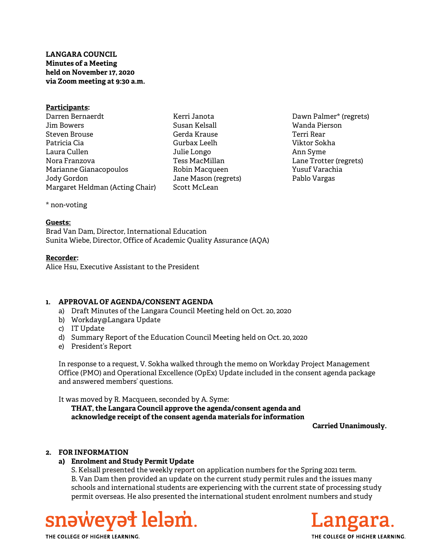# LANGARA COUNCIL Minutes of a Meeting held on November 17, 2020 via Zoom meeting at 9:30 a.m.

| Participants:                   |
|---------------------------------|
| Darren Bernaerdt                |
| Jim Bowers                      |
| Steven Brouse                   |
| Patricia Cia                    |
| Laura Cullen                    |
| Nora Franzova                   |
| Marianne Gianacopoulos          |
| Jody Gordon                     |
| Margaret Heldman (Acting Chair) |

Kerri Janota Susan Kelsall Gerda Krause Gurbax Leelh Julie Longo Tess MacMillan Robin Macqueen Jane Mason (regrets) Scott McLean

Dawn Palmer\* (regrets) Wanda Pierson Terri Rear Viktor Sokha Ann Syme Lane Trotter (regrets) Yusuf Varachia Pablo Vargas

\* non-voting

### Guests:

Brad Van Dam, Director, International Education Sunita Wiebe, Director, Office of Academic Quality Assurance (AQA)

### Recorder:

Alice Hsu, Executive Assistant to the President

## 1. APPROVAL OF AGENDA/CONSENT AGENDA

- a) Draft Minutes of the Langara Council Meeting held on Oct. 20, 2020
- b) Workday@Langara Update
- c) IT Update
- d) Summary Report of the Education Council Meeting held on Oct. 20, 2020
- e) President's Report

In response to a request, V. Sokha walked through the memo on Workday Project Management Office (PMO) and Operational Excellence (OpEx) Update included in the consent agenda package and answered members' questions.

It was moved by R. Macqueen, seconded by A. Syme:

THAT, the Langara Council approve the agenda/consent agenda and acknowledge receipt of the consent agenda materials for information

Carried Unanimously.

## 2. FOR INFORMATION

## a) Enrolment and Study Permit Update

S. Kelsall presented the weekly report on application numbers for the Spring 2021 term. B. Van Dam then provided an update on the current study permit rules and the issues many schools and international students are experiencing with the current state of processing study permit overseas. He also presented the international student enrolment numbers and study





THE COLLEGE OF HIGHER LEARNING.